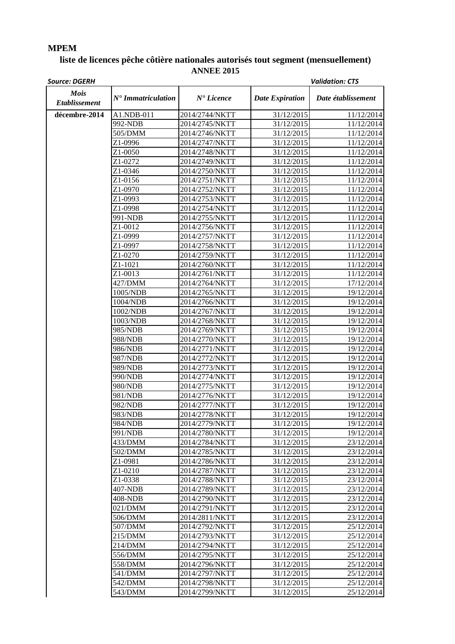## **MPEM**

## **liste de licences pêche côtière nationales autorisés tout segment (mensuellement) ANNEE 2015**

| <b>Source: DGERH</b>                |                               |                       |                        | <b>Validation: CTS</b> |
|-------------------------------------|-------------------------------|-----------------------|------------------------|------------------------|
| <b>Mois</b><br><b>Etablissement</b> | $N^{\bullet}$ Immatriculation | $N^{\bullet}$ Licence | <b>Date Expiration</b> | Date établissement     |
| décembre-2014                       | A1.NDB-011                    | 2014/2744/NKTT        | 31/12/2015             | 11/12/2014             |
|                                     | 992-NDB                       | 2014/2745/NKTT        | 31/12/2015             | 11/12/2014             |
|                                     | 505/DMM                       | 2014/2746/NKTT        | 31/12/2015             | 11/12/2014             |
|                                     | Z1-0996                       | 2014/2747/NKTT        | 31/12/2015             | 11/12/2014             |
|                                     | Z1-0050                       | 2014/2748/NKTT        | 31/12/2015             | 11/12/2014             |
|                                     | Z1-0272                       | 2014/2749/NKTT        | 31/12/2015             | 11/12/2014             |
|                                     | Z1-0346                       | 2014/2750/NKTT        | 31/12/2015             | 11/12/2014             |
|                                     | Z1-0156                       | 2014/2751/NKTT        | 31/12/2015             | 11/12/2014             |
|                                     | Z1-0970                       | 2014/2752/NKTT        | 31/12/2015             | 11/12/2014             |
|                                     | Z1-0993                       | 2014/2753/NKTT        | 31/12/2015             | 11/12/2014             |
|                                     | Z1-0998                       | 2014/2754/NKTT        | 31/12/2015             | 11/12/2014             |
|                                     | 991-NDB                       | 2014/2755/NKTT        | 31/12/2015             | 11/12/2014             |
|                                     | Z1-0012                       | 2014/2756/NKTT        | 31/12/2015             | 11/12/2014             |
|                                     | Z1-0999                       | 2014/2757/NKTT        | 31/12/2015             | 11/12/2014             |
|                                     | Z1-0997                       | 2014/2758/NKTT        | 31/12/2015             | 11/12/2014             |
|                                     | Z1-0270                       | 2014/2759/NKTT        | 31/12/2015             | 11/12/2014             |
|                                     | Z1-1021                       | 2014/2760/NKTT        | 31/12/2015             | 11/12/2014             |
|                                     | Z1-0013                       | 2014/2761/NKTT        | 31/12/2015             | 11/12/2014             |
|                                     | 427/DMM                       | 2014/2764/NKTT        | 31/12/2015             | 17/12/2014             |
|                                     | 1005/NDB                      | 2014/2765/NKTT        | 31/12/2015             | 19/12/2014             |
|                                     | 1004/NDB                      | 2014/2766/NKTT        | 31/12/2015             | 19/12/2014             |
|                                     | 1002/NDB                      | 2014/2767/NKTT        | 31/12/2015             | 19/12/2014             |
|                                     | 1003/NDB                      | 2014/2768/NKTT        | 31/12/2015             | 19/12/2014             |
|                                     | 985/NDB                       | 2014/2769/NKTT        | 31/12/2015             | 19/12/2014             |
|                                     | 988/NDB                       | 2014/2770/NKTT        | 31/12/2015             | 19/12/2014             |
|                                     | 986/NDB                       | 2014/2771/NKTT        | 31/12/2015             | 19/12/2014             |
|                                     | 987/NDB                       | 2014/2772/NKTT        | 31/12/2015             | 19/12/2014             |
|                                     | 989/NDB                       | 2014/2773/NKTT        | 31/12/2015             | 19/12/2014             |
|                                     | 990/NDB                       | 2014/2774/NKTT        | 31/12/2015             | 19/12/2014             |
|                                     | 980/NDB                       | 2014/2775/NKTT        | 31/12/2015             | 19/12/2014             |
|                                     | 981/NDB                       | 2014/2776/NKTT        | 31/12/2015             | 19/12/2014             |
|                                     | 982/NDB                       | 2014/2777/NKTT        | 31/12/2015             | 19/12/2014             |
|                                     | 983/NDB                       | 2014/2778/NKTT        | 31/12/2015             | 19/12/2014             |
|                                     | 984/NDB                       | 2014/2779/NKTT        | 31/12/2015             | 19/12/2014             |
|                                     | 991/NDB                       | 2014/2780/NKTT        | 31/12/2015             | 19/12/2014             |
|                                     | 433/DMM                       | 2014/2784/NKTT        | 31/12/2015             | 23/12/2014             |
|                                     | 502/DMM                       | 2014/2785/NKTT        | 31/12/2015             | 23/12/2014             |
|                                     | Z1-0981                       | 2014/2786/NKTT        | 31/12/2015             | 23/12/2014             |
|                                     | Z1-0210                       | 2014/2787/NKTT        | 31/12/2015             | 23/12/2014             |
|                                     | Z1-0338                       | 2014/2788/NKTT        | 31/12/2015             | 23/12/2014             |
|                                     | 407-NDB                       | 2014/2789/NKTT        | 31/12/2015             | 23/12/2014             |
|                                     | 408-NDB                       | 2014/2790/NKTT        | 31/12/2015             | 23/12/2014             |
|                                     | 021/DMM                       | 2014/2791/NKTT        | 31/12/2015             | 23/12/2014             |
|                                     | 506/DMM                       | 2014/2811/NKTT        | 31/12/2015             | 23/12/2014             |
|                                     | 507/DMM                       | 2014/2792/NKTT        | 31/12/2015             | 25/12/2014             |
|                                     | 215/DMM                       | 2014/2793/NKTT        | 31/12/2015             | 25/12/2014             |
|                                     | 214/DMM                       | 2014/2794/NKTT        | 31/12/2015             | 25/12/2014             |
|                                     | 556/DMM                       | 2014/2795/NKTT        | 31/12/2015             | 25/12/2014             |
|                                     | 558/DMM                       | 2014/2796/NKTT        | 31/12/2015             | 25/12/2014             |
|                                     | 541/DMM                       | 2014/2797/NKTT        | 31/12/2015             | 25/12/2014             |
|                                     | 542/DMM                       | 2014/2798/NKTT        | 31/12/2015             | 25/12/2014             |
|                                     | 543/DMM                       | 2014/2799/NKTT        | 31/12/2015             | 25/12/2014             |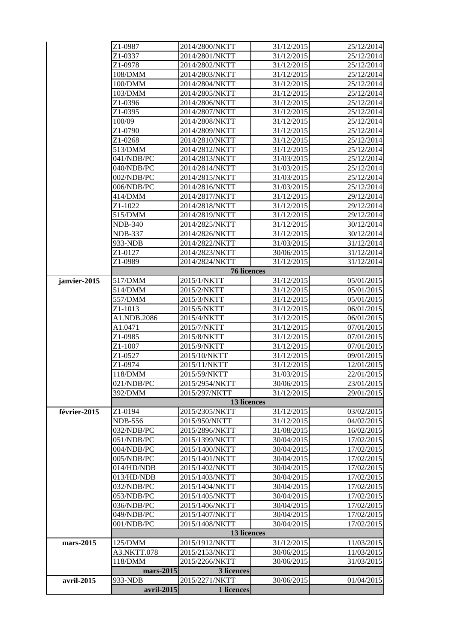|              | Z1-0987            | 2014/2800/NKTT | 31/12/2015 | 25/12/2014 |
|--------------|--------------------|----------------|------------|------------|
|              | Z1-0337            | 2014/2801/NKTT | 31/12/2015 | 25/12/2014 |
|              | Z1-0978            | 2014/2802/NKTT | 31/12/2015 | 25/12/2014 |
|              | 108/DMM            | 2014/2803/NKTT | 31/12/2015 | 25/12/2014 |
|              | 100/DMM            | 2014/2804/NKTT | 31/12/2015 | 25/12/2014 |
|              | 103/DMM            | 2014/2805/NKTT | 31/12/2015 | 25/12/2014 |
|              | Z1-0396            | 2014/2806/NKTT | 31/12/2015 | 25/12/2014 |
|              | Z1-0395            | 2014/2807/NKTT | 31/12/2015 | 25/12/2014 |
|              | 100/09             | 2014/2808/NKTT | 31/12/2015 | 25/12/2014 |
|              | Z1-0790            | 2014/2809/NKTT | 31/12/2015 | 25/12/2014 |
|              | Z1-0268            | 2014/2810/NKTT | 31/12/2015 | 25/12/2014 |
|              | 513/DMM            | 2014/2812/NKTT | 31/12/2015 | 25/12/2014 |
|              | 041/NDB/PC         | 2014/2813/NKTT | 31/03/2015 | 25/12/2014 |
|              | 040/NDB/PC         | 2014/2814/NKTT | 31/03/2015 | 25/12/2014 |
|              | 002/NDB/PC         | 2014/2815/NKTT | 31/03/2015 | 25/12/2014 |
|              | 006/NDB/PC         | 2014/2816/NKTT | 31/03/2015 | 25/12/2014 |
|              | 414/DMM            | 2014/2817/NKTT | 31/12/2015 | 29/12/2014 |
|              | Z1-1022            | 2014/2818/NKTT | 31/12/2015 | 29/12/2014 |
|              | 515/DMM            | 2014/2819/NKTT | 31/12/2015 | 29/12/2014 |
|              | <b>NDB-340</b>     | 2014/2825/NKTT | 31/12/2015 | 30/12/2014 |
|              | NDB-337            | 2014/2826/NKTT | 31/12/2015 | 30/12/2014 |
|              | 933-NDB            | 2014/2822/NKTT | 31/03/2015 | 31/12/2014 |
|              | Z1-0127            | 2014/2823/NKTT | 30/06/2015 | 31/12/2014 |
|              | Z1-0989            | 2014/2824/NKTT | 31/12/2015 | 31/12/2014 |
|              | <b>76 licences</b> |                |            |            |
| janvier-2015 | 517/DMM            | 2015/1/NKTT    | 31/12/2015 | 05/01/2015 |
|              | 514/DMM            | 2015/2/NKTT    | 31/12/2015 | 05/01/2015 |
|              | 557/DMM            | 2015/3/NKTT    | 31/12/2015 | 05/01/2015 |
|              | Z1-1013            | 2015/5/NKTT    | 31/12/2015 | 06/01/2015 |
|              | A1.NDB.2086        | 2015/4/NKTT    | 31/12/2015 | 06/01/2015 |
|              | A1.0471            | 2015/7/NKTT    | 31/12/2015 | 07/01/2015 |
|              | Z1-0985            | 2015/8/NKTT    | 31/12/2015 | 07/01/2015 |
|              | Z1-1007            | 2015/9/NKTT    | 31/12/2015 | 07/01/2015 |
|              | Z1-0527            | 2015/10/NKTT   | 31/12/2015 | 09/01/2015 |
|              | Z1-0974            | 2015/11/NKTT   | 31/12/2015 | 12/01/2015 |
|              | 118/DMM            | 2015/59/NKTT   | 31/03/2015 | 22/01/2015 |
|              | 021/NDB/PC         | 2015/2954/NKTT | 30/06/2015 | 23/01/2015 |
|              | 392/DMM            | 2015/297/NKTT  | 31/12/2015 | 29/01/2015 |
|              |                    | 13 licences    |            |            |
| février-2015 | Z1-0194            | 2015/2305/NKTT | 31/12/2015 | 03/02/2015 |
|              | <b>NDB-556</b>     | 2015/950/NKTT  | 31/12/2015 | 04/02/2015 |
|              | 032/NDB/PC         | 2015/2896/NKTT | 31/08/2015 | 16/02/2015 |
|              | 051/NDB/PC         | 2015/1399/NKTT | 30/04/2015 | 17/02/2015 |
|              | 004/NDB/PC         | 2015/1400/NKTT | 30/04/2015 | 17/02/2015 |
|              | 005/NDB/PC         | 2015/1401/NKTT | 30/04/2015 | 17/02/2015 |
|              | 014/HD/NDB         | 2015/1402/NKTT | 30/04/2015 | 17/02/2015 |
|              | 013/HD/NDB         | 2015/1403/NKTT | 30/04/2015 | 17/02/2015 |
|              | 032/NDB/PC         | 2015/1404/NKTT | 30/04/2015 | 17/02/2015 |
|              | 053/NDB/PC         | 2015/1405/NKTT | 30/04/2015 | 17/02/2015 |
|              | 036/NDB/PC         | 2015/1406/NKTT | 30/04/2015 | 17/02/2015 |
|              | 049/NDB/PC         | 2015/1407/NKTT | 30/04/2015 | 17/02/2015 |
|              | 001/NDB/PC         | 2015/1408/NKTT | 30/04/2015 | 17/02/2015 |
|              |                    | 13 licences    |            |            |
| mars-2015    | 125/DMM            | 2015/1912/NKTT | 31/12/2015 | 11/03/2015 |
|              | A3.NKTT.078        | 2015/2153/NKTT | 30/06/2015 | 11/03/2015 |
|              | 118/DMM            | 2015/2266/NKTT | 30/06/2015 | 31/03/2015 |
|              | mars-2015          | 3 licences     |            |            |
| avril-2015   | 933-NDB            | 2015/2271/NKTT | 30/06/2015 | 01/04/2015 |
|              | avril-2015         | 1 licences     |            |            |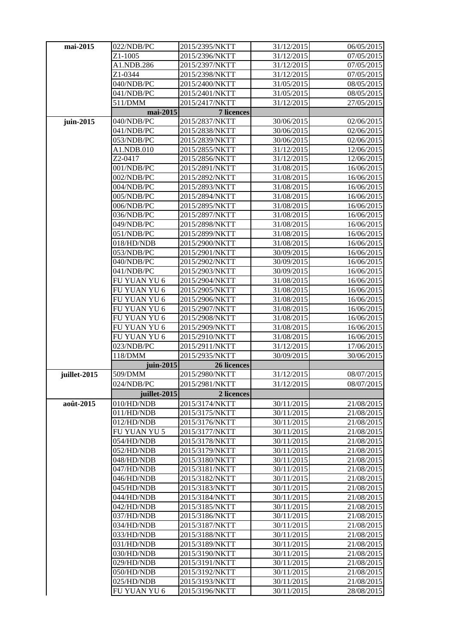| mai-2015     | 022/NDB/PC          | 2015/2395/NKTT    | 31/12/2015 | 06/05/2015 |
|--------------|---------------------|-------------------|------------|------------|
|              | Z1-1005             | 2015/2396/NKTT    | 31/12/2015 | 07/05/2015 |
|              | A1.NDB.286          | 2015/2397/NKTT    | 31/12/2015 | 07/05/2015 |
|              | Z1-0344             | 2015/2398/NKTT    | 31/12/2015 | 07/05/2015 |
|              | 040/NDB/PC          | 2015/2400/NKTT    | 31/05/2015 | 08/05/2015 |
|              | 041/NDB/PC          | 2015/2401/NKTT    | 31/05/2015 | 08/05/2015 |
|              | 511/DMM             | 2015/2417/NKTT    | 31/12/2015 | 27/05/2015 |
|              | mai-2015            | <b>7 licences</b> |            |            |
| juin-2015    | 040/NDB/PC          | 2015/2837/NKTT    | 30/06/2015 | 02/06/2015 |
|              | 041/NDB/PC          | 2015/2838/NKTT    | 30/06/2015 | 02/06/2015 |
|              | 053/NDB/PC          | 2015/2839/NKTT    | 30/06/2015 | 02/06/2015 |
|              | A1.NDB.010          | 2015/2855/NKTT    | 31/12/2015 | 12/06/2015 |
|              | Z2-0417             | 2015/2856/NKTT    | 31/12/2015 | 12/06/2015 |
|              | 001/NDB/PC          | 2015/2891/NKTT    | 31/08/2015 | 16/06/2015 |
|              | 002/NDB/PC          | 2015/2892/NKTT    | 31/08/2015 | 16/06/2015 |
|              | 004/NDB/PC          | 2015/2893/NKTT    | 31/08/2015 | 16/06/2015 |
|              | 005/NDB/PC          | 2015/2894/NKTT    | 31/08/2015 | 16/06/2015 |
|              | 006/NDB/PC          | 2015/2895/NKTT    | 31/08/2015 | 16/06/2015 |
|              | 036/NDB/PC          | 2015/2897/NKTT    | 31/08/2015 | 16/06/2015 |
|              | 049/NDB/PC          | 2015/2898/NKTT    | 31/08/2015 | 16/06/2015 |
|              | 051/NDB/PC          | 2015/2899/NKTT    | 31/08/2015 | 16/06/2015 |
|              | 018/HD/NDB          | 2015/2900/NKTT    | 31/08/2015 | 16/06/2015 |
|              | 053/NDB/PC          | 2015/2901/NKTT    | 30/09/2015 | 16/06/2015 |
|              | 040/NDB/PC          | 2015/2902/NKTT    | 30/09/2015 | 16/06/2015 |
|              | 041/NDB/PC          | 2015/2903/NKTT    | 30/09/2015 | 16/06/2015 |
|              | FU YUAN YU 6        | 2015/2904/NKTT    | 31/08/2015 | 16/06/2015 |
|              | FU YUAN YU 6        | 2015/2905/NKTT    | 31/08/2015 | 16/06/2015 |
|              | <b>FU YUAN YU 6</b> | 2015/2906/NKTT    | 31/08/2015 | 16/06/2015 |
|              | FU YUAN YU 6        | 2015/2907/NKTT    | 31/08/2015 | 16/06/2015 |
|              | FU YUAN YU 6        | 2015/2908/NKTT    | 31/08/2015 | 16/06/2015 |
|              | FU YUAN YU 6        | 2015/2909/NKTT    | 31/08/2015 | 16/06/2015 |
|              | FU YUAN YU 6        | 2015/2910/NKTT    | 31/08/2015 | 16/06/2015 |
|              | 023/NDB/PC          | 2015/2911/NKTT    | 31/12/2015 | 17/06/2015 |
|              | 118/DMM             | 2015/2935/NKTT    | 30/09/2015 | 30/06/2015 |
|              | juin-2015           | 26 licences       |            |            |
| juillet-2015 | 509/DMM             | 2015/2980/NKTT    | 31/12/2015 | 08/07/2015 |
|              | 024/NDB/PC          | 2015/2981/NKTT    | 31/12/2015 | 08/07/2015 |
|              | juillet-2015        | 2 licences        |            |            |
| août-2015    | 010/HD/NDB          | 2015/3174/NKTT    | 30/11/2015 | 21/08/2015 |
|              | 011/HD/NDB          | 2015/3175/NKTT    | 30/11/2015 | 21/08/2015 |
|              | 012/HD/NDB          | 2015/3176/NKTT    | 30/11/2015 | 21/08/2015 |
|              | FU YUAN YU 5        | 2015/3177/NKTT    | 30/11/2015 | 21/08/2015 |
|              | 054/HD/NDB          | 2015/3178/NKTT    | 30/11/2015 | 21/08/2015 |
|              | 052/HD/NDB          | 2015/3179/NKTT    | 30/11/2015 | 21/08/2015 |
|              | 048/HD/NDB          | 2015/3180/NKTT    | 30/11/2015 | 21/08/2015 |
|              | 047/HD/NDB          | 2015/3181/NKTT    | 30/11/2015 | 21/08/2015 |
|              | 046/HD/NDB          | 2015/3182/NKTT    | 30/11/2015 | 21/08/2015 |
|              | 045/HD/NDB          | 2015/3183/NKTT    | 30/11/2015 | 21/08/2015 |
|              | 044/HD/NDB          | 2015/3184/NKTT    | 30/11/2015 | 21/08/2015 |
|              | 042/HD/NDB          | 2015/3185/NKTT    | 30/11/2015 | 21/08/2015 |
|              | 037/HD/NDB          | 2015/3186/NKTT    | 30/11/2015 | 21/08/2015 |
|              | 034/HD/NDB          | 2015/3187/NKTT    | 30/11/2015 | 21/08/2015 |
|              | 033/HD/NDB          | 2015/3188/NKTT    | 30/11/2015 | 21/08/2015 |
|              | 031/HD/NDB          | 2015/3189/NKTT    | 30/11/2015 | 21/08/2015 |
|              | 030/HD/NDB          | 2015/3190/NKTT    | 30/11/2015 | 21/08/2015 |
|              | 029/HD/NDB          | 2015/3191/NKTT    | 30/11/2015 | 21/08/2015 |
|              | 050/HD/NDB          | 2015/3192/NKTT    | 30/11/2015 | 21/08/2015 |
|              | 025/HD/NDB          | 2015/3193/NKTT    | 30/11/2015 | 21/08/2015 |
|              | FU YUAN YU 6        | 2015/3196/NKTT    | 30/11/2015 | 28/08/2015 |